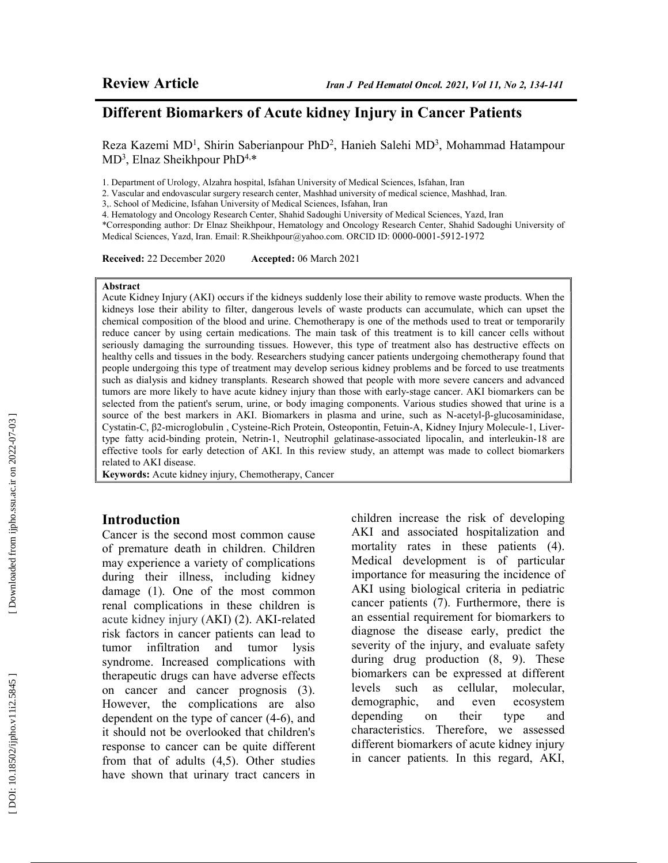## Different Biomarkers of Acute kidney Injury in Cancer Patients

Reza Kazemi MD<sup>1</sup>, Shirin Saberianpour PhD<sup>2</sup>, Hanieh Salehi MD<sup>3</sup>, Mohammad Hatampour MD<sup>3</sup>, Elnaz Sheikhpour PhD<sup>4,\*</sup>

1. Department of Urology, Alzahra hospital, Isfahan University of Medical Sciences, Isfahan, Iran

2. Vascular and endovascular surgery research center, Mashhad university of medical science, Mashhad, Iran.

3,. School of Medicine, Isfahan University of Medical Sciences, Isfahan, Iran

4. Hematology and Oncology Research Center, Shahid Sadoughi University of Medical Sciences, Yazd, Iran

\*Corresponding author: Dr Elnaz Sheikhpour, Hematology and Oncology Research Center, Shahid Sadoughi University of Medical Sciences, Yazd, Iran. Email: R.Sheikhpour@yahoo.com. ORCID ID: 0000-0001-5912-1972

Received: 22 December 2020 Accepted: 06 March 2021

#### Abstract

Acute Kidney Injury (AKI) occurs if the kidneys suddenly lose their ability to remove waste products. When the kidneys lose their ability to filter, dangerous levels of waste products can accumulate, which can upset the chemical composition of the blood and urine. Chemotherapy is one of the methods used to treat or temporarily reduce cancer by using certain medications. The main task of this treatment is to kill cancer cells without seriously damaging the surrounding tissues. However, this type of treatment also has destructive effects on healthy cells and tissues in the body. Researchers studying cancer patients undergoing chemotherapy found that people undergoing this type of treatment may develop serious kidney problems and be forced to use treatments such as dialysis and kidney transplants. Research showed that people with more severe cancers and advanced tumors are more likely to have acute kidney injury than those with early-stage cancer. AKI biomarkers can be selected from the patient's serum, urine, or body imaging components. Various studies showed that urine is a source of the best markers in AKI. Biomarkers in plasma and urine, such as N-acetyl-β-glucosaminidase, Cystatin-C, β2-microglobulin , Cysteine-Rich Protein, Osteopontin, Fetuin-A, Kidney Injury Molecule-1, Livertype fatty acid-binding protein, Netrin-1, Neutrophil gelatinase-associated lipocalin, and interleukin-18 are effective tools for early detection of AKI. In this review study, an attempt was made to collect biomarkers related to AKI disease.

Keywords: Acute kidney injury, Chemotherapy, Cancer

#### Introduction

Cancer is the second most common cause of premature death in children. Children may experience a variety of complications during their illness, including kidney damage (1). One of the most common renal complications in these children is acute kidney injury (AKI) (2). AKI-related risk factors in cancer patients can lead to tumor infiltration and tumor lysis syndrome. Increased complications with therapeutic drugs can have adverse effects on cancer and cancer prognosis (3). However, the complications are also dependent on the type of cancer (4-6), and it should not be overlooked that children's response to cancer can be quite different from that of adults (4,5). Other studies have shown that urinary tract cancers in children increase the risk of developing AKI and associated hospitalization and mortality rates in these patients (4). Medical development is of particular importance for measuring the incidence of AKI using biological criteria in pediatric cancer patients (7). Furthermore, there is an essential requirement for biomarkers to diagnose the disease early, predict the severity of the injury, and evaluate safety during drug production (8, 9). These biomarkers can be expressed at different levels such as cellular, molecular, demographic, and even ecosystem depending on their type and characteristics. Therefore, we assessed different biomarkers of acute kidney injury in cancer patients. In this regard, AKI,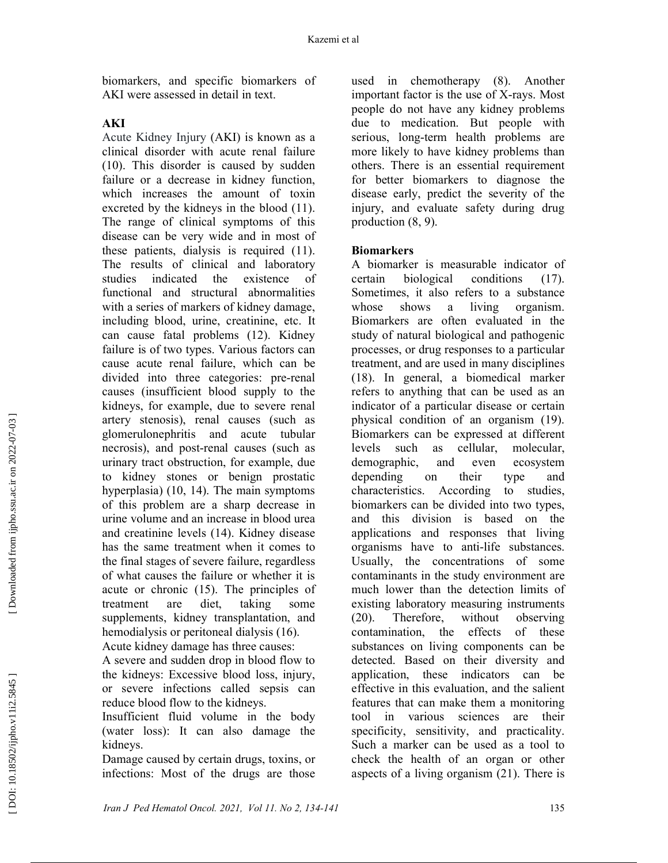biomarkers, and specific biomarkers of AKI were assessed in detail in text.

### AKI

Acute Kidney Injury (AKI) is known as a clinical disorder with acute renal failure (10). This disorder is caused by sudden failure or a decrease in kidney function, which increases the amount of toxin excreted by the kidneys in the blood (11). The range of clinical symptoms of this disease can be very wide and in most of these patients, dialysis is required (11). The results of clinical and laboratory studies indicated the existence of functional and structural abnormalities with a series of markers of kidney damage, including blood, urine, creatinine, etc. It can cause fatal problems (12). Kidney failure is of two types. Various factors can cause acute renal failure, which can be divided into three categories: pre-renal causes (insufficient blood supply to the kidneys, for example, due to severe renal artery stenosis), renal causes (such as glomerulonephritis and acute tubular necrosis), and post-renal causes (such as urinary tract obstruction, for example, due to kidney stones or benign prostatic hyperplasia) (10, 14). The main symptoms of this problem are a sharp decrease in urine volume and an increase in blood urea and creatinine levels (14). Kidney disease has the same treatment when it comes to the final stages of severe failure, regardless of what causes the failure or whether it is acute or chronic (15). The principles of treatment are diet, taking some supplements, kidney transplantation, and hemodialysis or peritoneal dialysis (16). Acute kidney damage has three causes:

A severe and sudden drop in blood flow to the kidneys: Excessive blood loss, injury, or severe infections called sepsis can reduce blood flow to the kidneys.

Insufficient fluid volume in the body (water loss): It can also damage the kidneys.

Damage caused by certain drugs, toxins, or infections: Most of the drugs are those used in chemotherapy (8). Another important factor is the use of X-rays. Most people do not have any kidney problems due to medication. But people with serious, long-term health problems are more likely to have kidney problems than others. There is an essential requirement for better biomarkers to diagnose the disease early, predict the severity of the injury, and evaluate safety during drug production (8, 9).

### **Biomarkers**

A biomarker is measurable indicator of certain biological conditions (17). Sometimes, it also refers to a substance whose shows a living organism. Biomarkers are often evaluated in the study of natural biological and pathogenic processes, or drug responses to a particular treatment, and are used in many disciplines (18). In general, a biomedical marker refers to anything that can be used as an indicator of a particular disease or certain physical condition of an organism (19). Biomarkers can be expressed at different levels such as cellular, molecular, demographic, and even ecosystem depending on their type and characteristics. According to studies, biomarkers can be divided into two types, and this division is based on the applications and responses that living organisms have to anti-life substances. Usually, the concentrations of some contaminants in the study environment are much lower than the detection limits of existing laboratory measuring instruments (20). Therefore, without observing contamination, the effects of these substances on living components can be detected. Based on their diversity and application, these indicators can be effective in this evaluation, and the salient features that can make them a monitoring tool in various sciences are their specificity, sensitivity, and practicality. Such a marker can be used as a tool to check the health of an organ or other aspects of a living organism (21). There is

 [\[ DOI: 10.18502/ijpho.v11i2.5845 \]](http://dx.doi.org/10.18502/ijpho.v11i2.5845) [\[ Downloaded from ijpho.ssu.ac.ir on 2022](http://ijpho.ssu.ac.ir/article-1-624-en.html)-07-03 ]

DOI: 10.18502/ijpho.v11i2.5845]

Downloaded from ijpho.ssu.ac.ir on 2022-07-03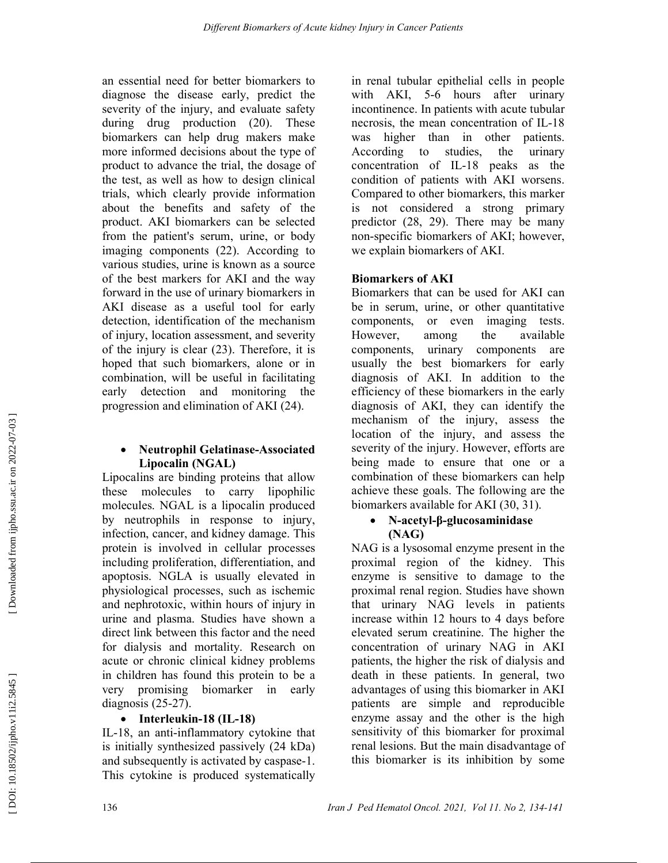an essential need for better biomarkers to diagnose the disease early, predict the severity of the injury, and evaluate safety during drug production (20). These biomarkers can help drug makers make more informed decisions about the type of product to advance the trial, the dosage of the test, as well as how to design clinical trials, which clearly provide information about the benefits and safety of the product. AKI biomarkers can be selected from the patient's serum, urine, or body imaging components (22). According to various studies, urine is known as a source of the best markers for AKI and the way forward in the use of urinary biomarkers in AKI disease as a useful tool for early detection, identification of the mechanism of injury, location assessment, and severity of the injury is clear (23). Therefore, it is hoped that such biomarkers, alone or in combination, will be useful in facilitating early detection and monitoring the progression and elimination of AKI (24).

#### Neutrophil Gelatinase-Associated Lipocalin (NGAL)

Lipocalins are binding proteins that allow these molecules to carry lipophilic molecules. NGAL is a lipocalin produced by neutrophils in response to injury, infection, cancer, and kidney damage. This protein is involved in cellular processes including proliferation, differentiation, and apoptosis. NGLA is usually elevated in physiological processes, such as ischemic and nephrotoxic, within hours of injury in urine and plasma. Studies have shown a direct link between this factor and the need for dialysis and mortality. Research on acute or chronic clinical kidney problems in children has found this protein to be a very promising biomarker in early diagnosis (25-27).

### • Interleukin-18 (IL-18)

IL-18, an anti-inflammatory cytokine that is initially synthesized passively (24 kDa) and subsequently is activated by caspase-1. This cytokine is produced systematically

in renal tubular epithelial cells in people with AKI, 5-6 hours after urinary incontinence. In patients with acute tubular necrosis, the mean concentration of IL-18 was higher than in other patients. According to studies, the urinary concentration of IL-18 peaks as the condition of patients with AKI worsens. Compared to other biomarkers, this marker is not considered a strong primary predictor (28, 29). There may be many non-specific biomarkers of AKI; however, we explain biomarkers of AKI.

### Biomarkers of AKI

Biomarkers that can be used for AKI can be in serum, urine, or other quantitative components, or even imaging tests. However, among the available components, urinary components are usually the best biomarkers for early diagnosis of AKI. In addition to the efficiency of these biomarkers in the early diagnosis of AKI, they can identify the mechanism of the injury, assess the location of the injury, and assess the severity of the injury. However, efforts are being made to ensure that one or a combination of these biomarkers can help achieve these goals. The following are the biomarkers available for AKI (30, 31).

### N-acetyl-β-glucosaminidase (NAG)

NAG is a lysosomal enzyme present in the proximal region of the kidney. This enzyme is sensitive to damage to the proximal renal region. Studies have shown that urinary NAG levels in patients increase within 12 hours to 4 days before elevated serum creatinine. The higher the concentration of urinary NAG in AKI patients, the higher the risk of dialysis and death in these patients. In general, two advantages of using this biomarker in AKI patients are simple and reproducible enzyme assay and the other is the high sensitivity of this biomarker for proximal renal lesions. But the main disadvantage of this biomarker is its inhibition by some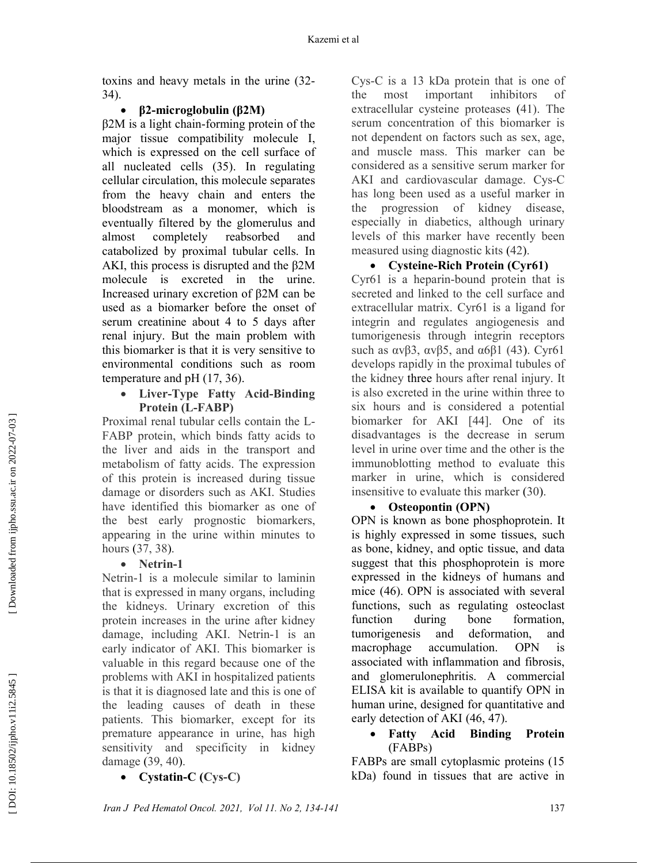toxins and heavy metals in the urine (32- 34).

### β2-microglobulin (β2M)

β2M is a light chain-forming protein of the major tissue compatibility molecule I, which is expressed on the cell surface of all nucleated cells (35). In regulating cellular circulation, this molecule separates from the heavy chain and enters the bloodstream as a monomer, which is eventually filtered by the glomerulus and almost completely reabsorbed and catabolized by proximal tubular cells. In AKI, this process is disrupted and the β2M molecule is excreted in the urine. Increased urinary excretion of β2M can be used as a biomarker before the onset of serum creatinine about 4 to 5 days after renal injury. But the main problem with this biomarker is that it is very sensitive to environmental conditions such as room temperature and pH (17, 36).

### Liver-Type Fatty Acid-Binding Protein (L-FABP)

Proximal renal tubular cells contain the L-FABP protein, which binds fatty acids to the liver and aids in the transport and metabolism of fatty acids. The expression of this protein is increased during tissue damage or disorders such as AKI. Studies have identified this biomarker as one of the best early prognostic biomarkers, appearing in the urine within minutes to hours (37, 38 ).

## • Netrin-1

Netrin-1 is a molecule similar to laminin that is expressed in many organs, including the kidneys. Urinary excretion of this protein increases in the urine after kidney damage, including AKI. Netrin-1 is an early indicator of AKI. This biomarker is valuable in this regard because one of the problems with AKI in hospitalized patients is that it is diagnosed late and this is one of the leading causes of death in these patients. This biomarker, except for its premature appearance in urine, has high sensitivity and specificity in kidney damage (39, 40 ).

• Cystatin-C (Cys-C)

Cys-C is a 13 kDa protein that is one of the most important inhibitors of extracellular cysteine proteases (41). The serum concentration of this biomarker is not dependent on factors such as sex, age, and muscle mass. This marker can be considered as a sensitive serum marker for AKI and cardiovascular damage. Cys-C has long been used as a useful marker in the progression of kidney disease, especially in diabetics, although urinary levels of this marker have recently been measured using diagnostic kits (42 ).

#### Cysteine-Rich Protein (Cyr61)

Cyr61 is a heparin-bound protein that is secreted and linked to the cell surface and extracellular matrix. Cyr61 is a ligand for integrin and regulates angiogenesis and tumorigenesis through integrin receptors such as  $\alpha v \beta 3$ ,  $\alpha v \beta 5$ , and  $\alpha 6 \beta 1$  (43). Cyr61 develops rapidly in the proximal tubules of the kidney three hours after renal injury. It is also excreted in the urine within three to six hours and is considered a potential biomarker for AKI [44]. One of its disadvantages is the decrease in serum level in urine over time and the other is the immunoblotting method to evaluate this marker in urine, which is considered insensitive to evaluate this marker (30 ).

### • Osteopontin (OPN)

OPN is known as bone phosphoprotein. It is highly expressed in some tissues, such as bone, kidney, and optic tissue, and data suggest that this phosphoprotein is more expressed in the kidneys of humans and mice (46). OPN is associated with several functions, such as regulating osteoclast function during bone formation, tumorigenesis and deformation, and macrophage accumulation. OPN is associated with inflammation and fibrosis, and glomerulonephritis. A commercial ELISA kit is available to quantify OPN in human urine, designed for quantitative and early detection of AKI (46, 47).

#### Fatty Acid Binding Protein (FABPs)

FABPs are small cytoplasmic proteins (15 kDa) found in tissues that are active in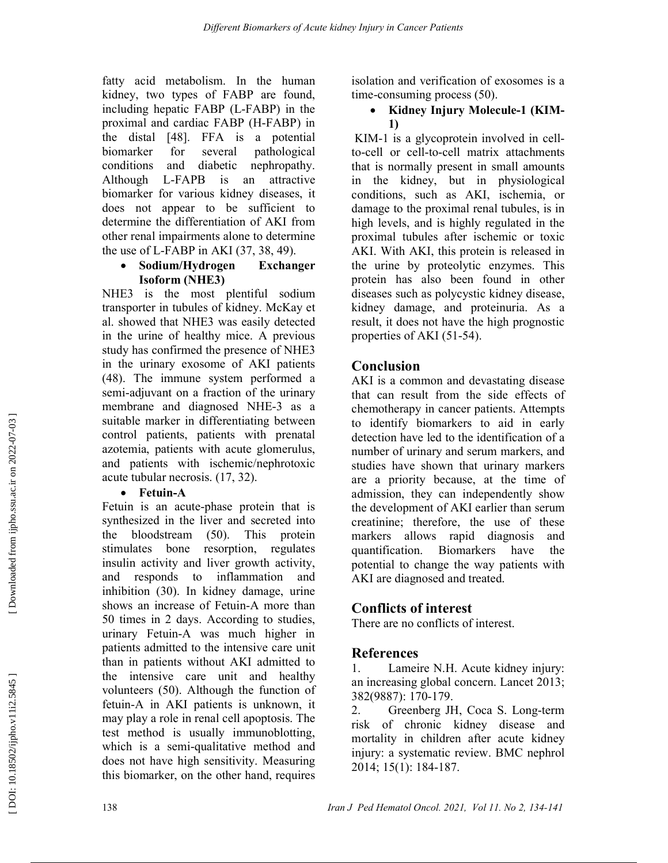fatty acid metabolism. In the human kidney, two types of FABP are found, including hepatic FABP (L-FABP) in the proximal and cardiac FABP (H-FABP) in the distal [48]. FFA is a potential biomarker for several pathological conditions and diabetic nephropathy. Although L-FAPB is an attractive biomarker for various kidney diseases, it does not appear to be sufficient to determine the differentiation of AKI from other renal impairments alone to determine the use of L-FABP in AKI (37, 38, 49).

### Sodium/Hydrogen Exchanger Isoform (NHE3)

NHE3 is the most plentiful sodium transporter in tubules of kidney. McKay et al. showed that NHE3 was easily detected in the urine of healthy mice. A previous study has confirmed the presence of NHE3 in the urinary exosome of AKI patients (48). The immune system performed a semi-adjuvant on a fraction of the urinary membrane and diagnosed NHE-3 as a suitable marker in differentiating between control patients, patients with prenatal azotemia, patients with acute glomerulus, and patients with ischemic/nephrotoxic acute tubular necrosis. (17, 32).

## • Fetuin-A

Fetuin is an acute-phase protein that is synthesized in the liver and secreted into the bloodstream (50). This protein stimulates bone resorption, regulates insulin activity and liver growth activity, and responds to inflammation and inhibition (30). In kidney damage, urine shows an increase of Fetuin-A more than 50 times in 2 days. According to studies, urinary Fetuin-A was much higher in patients admitted to the intensive care unit than in patients without AKI admitted to the intensive care unit and healthy volunteers (50). Although the function of fetuin-A in AKI patients is unknown, it may play a role in renal cell apoptosis. The test method is usually immunoblotting, which is a semi-qualitative method and does not have high sensitivity. Measuring this biomarker, on the other hand, requires

isolation and verification of exosomes is a time-consuming process (50).

### • Kidney Injury Molecule-1 (KIM-1)

 KIM-1 is a glycoprotein involved in cellto-cell or cell-to-cell matrix attachments that is normally present in small amounts in the kidney, but in physiological conditions, such as AKI, ischemia, or damage to the proximal renal tubules, is in high levels, and is highly regulated in the proximal tubules after ischemic or toxic AKI. With AKI, this protein is released in the urine by proteolytic enzymes. This protein has also been found in other diseases such as polycystic kidney disease, kidney damage, and proteinuria. As a result, it does not have the high prognostic properties of AKI (51-54).

# Conclusion

AKI is a common and devastating disease that can result from the side effects of chemotherapy in cancer patients. Attempts to identify biomarkers to aid in early detection have led to the identification of a number of urinary and serum markers, and studies have shown that urinary markers are a priority because, at the time of admission, they can independently show the development of AKI earlier than serum creatinine; therefore, the use of these markers allows rapid diagnosis and quantification. Biomarkers have the potential to change the way patients with AKI are diagnosed and treated.

# Conflicts of interest

There are no conflicts of interest.

# References

1. Lameire N.H. Acute kidney injury: an increasing global concern. Lancet 2013; 382(9887): 170-179.

2. Greenberg JH, Coca S. Long-term risk of chronic kidney disease and mortality in children after acute kidney injury: a systematic review. BMC nephrol 2014; 15(1): 184-187.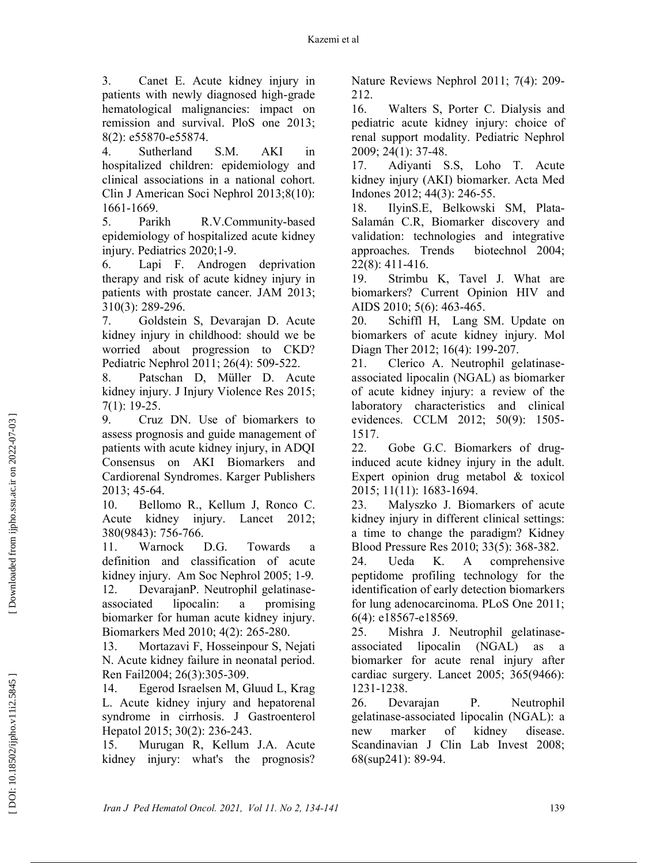3. Canet E. Acute kidney injury in patients with newly diagnosed high-grade hematological malignancies: impact on remission and survival. PloS one 2013; 8(2): e55870-e55874.

4. Sutherland S.M. AKI in hospitalized children: epidemiology and clinical associations in a national cohort. Clin J American Soci Nephrol 2013;8(10): 1661-1669.

5. Parikh R.V.Community-based epidemiology of hospitalized acute kidney injury. Pediatrics 2020;1-9.

6. Lapi F. Androgen deprivation therapy and risk of acute kidney injury in patients with prostate cancer. JAM 2013; 310(3): 289-296.

7. Goldstein S, Devarajan D. Acute kidney injury in childhood: should we be worried about progression to CKD? Pediatric Nephrol 2011; 26(4): 509-522.

8. Patschan D, Müller D. Acute kidney injury. J Injury Violence Res 2015; 7(1): 19-25.

9. Cruz DN. Use of biomarkers to assess prognosis and guide management of patients with acute kidney injury, in ADQI Consensus on AKI Biomarkers and Cardiorenal Syndromes. Karger Publishers 2013; 45-64.

10. Bellomo R., Kellum J, Ronco C. Acute kidney injury. Lancet 2012; 380(9843): 756-766.

11. Warnock D.G. Towards a definition and classification of acute kidney injury. Am Soc Nephrol 2005; 1-9. 12. DevarajanP. Neutrophil gelatinaseassociated lipocalin: a promising

biomarker for human acute kidney injury. Biomarkers Med 2010; 4(2): 265-280.

13. Mortazavi F, Hosseinpour S, Nejati N. Acute kidney failure in neonatal period. Ren Fail2004; 26(3):305-309.

14. Egerod Israelsen M, Gluud L, Krag L. Acute kidney injury and hepatorenal syndrome in cirrhosis. J Gastroenterol Hepatol 2015; 30(2): 236-243.

15. Murugan R, Kellum J.A. Acute kidney injury: what's the prognosis? Nature Reviews Nephrol 2011; 7(4): 209- 212.

16. Walters S, Porter C. Dialysis and pediatric acute kidney injury: choice of renal support modality. Pediatric Nephrol 2009; 24(1): 37-48.

17. Adiyanti S.S, Loho T. Acute kidney injury (AKI) biomarker. Acta Med Indones 2012; 44(3): 246-55.

18. IlyinS.E, Belkowski SM, Plata-Salamán C.R, Biomarker discovery and validation: technologies and integrative approaches. Trends biotechnol 2004; 22(8): 411-416.

19. Strimbu K, Tavel J. What are biomarkers? Current Opinion HIV and AIDS 2010; 5(6): 463-465.

20. Schiffl H, Lang SM. Update on biomarkers of acute kidney injury. Mol Diagn Ther 2012; 16(4): 199-207.

21. Clerico A. Neutrophil gelatinaseassociated lipocalin (NGAL) as biomarker of acute kidney injury: a review of the laboratory characteristics and clinical evidences. CCLM 2012; 50(9): 1505- 1517.

22. Gobe G.C. Biomarkers of druginduced acute kidney injury in the adult. Expert opinion drug metabol & toxicol 2015; 11(11): 1683-1694.

23. Malyszko J. Biomarkers of acute kidney injury in different clinical settings: a time to change the paradigm? Kidney Blood Pressure Res 2010; 33(5): 368-382.

24. Ueda K. A comprehensive peptidome profiling technology for the identification of early detection biomarkers for lung adenocarcinoma. PLoS One 2011; 6(4): e18567-e18569.

25. Mishra J. Neutrophil gelatinaseassociated lipocalin (NGAL) as biomarker for acute renal injury after cardiac surgery. Lancet 2005; 365(9466): 1231-1238.

26. Devarajan P. Neutrophil gelatinase‐associated lipocalin (NGAL): a new marker of kidney disease. Scandinavian J Clin Lab Invest 2008; 68(sup241): 89-94.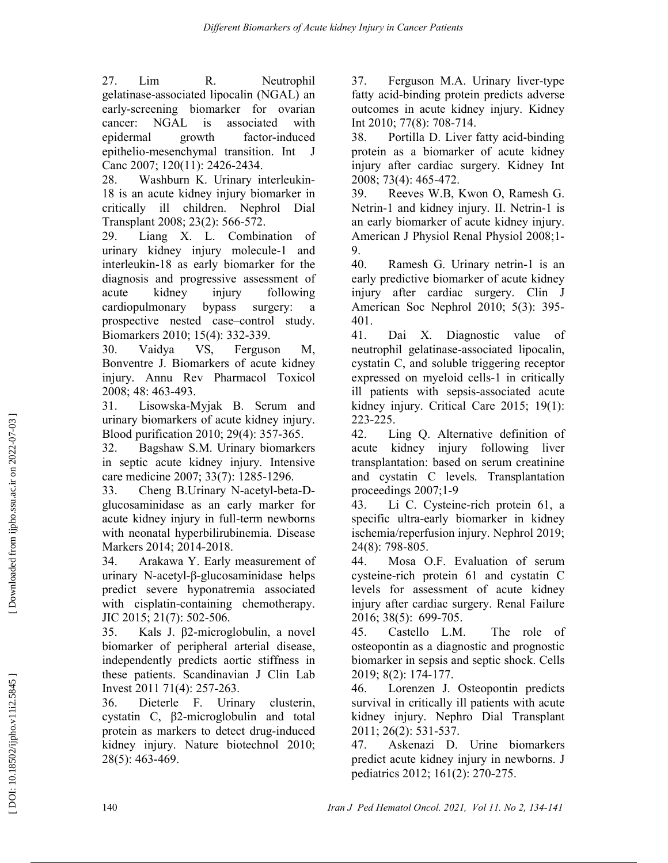27. Lim R. Neutrophil gelatinase‐associated lipocalin (NGAL) an early‐screening biomarker for ovarian cancer: NGAL is associated with epidermal growth factor‐induced epithelio‐mesenchymal transition. Int J Canc 2007; 120(11): 2426-2434.

28. Washburn K. Urinary interleukin-18 is an acute kidney injury biomarker in critically ill children. Nephrol Dial Transplant 2008; 23(2): 566-572.

29. Liang X. L. Combination of urinary kidney injury molecule-1 and interleukin-18 as early biomarker for the diagnosis and progressive assessment of acute kidney injury following cardiopulmonary bypass surgery: a prospective nested case–control study. Biomarkers 2010; 15(4): 332-339.

30. Vaidya VS, Ferguson M, Bonventre J. Biomarkers of acute kidney injury. Annu Rev Pharmacol Toxicol 2008; 48: 463-493.

31. Lisowska-Myjak B. Serum and urinary biomarkers of acute kidney injury. Blood purification 2010; 29(4): 357-365.

32. Bagshaw S.M. Urinary biomarkers in septic acute kidney injury. Intensive care medicine 2007; 33(7): 1285-1296.

33. Cheng B.Urinary N-acetyl-beta-Dglucosaminidase as an early marker for acute kidney injury in full-term newborns with neonatal hyperbilirubinemia. Disease Markers 2014; 2014-2018.

34. Arakawa Y. Early measurement of urinary N-acetyl-β-glucosaminidase helps predict severe hyponatremia associated with cisplatin-containing chemotherapy. JIC 2015; 21(7): 502-506.

35. Kals J. β2-microglobulin, a novel biomarker of peripheral arterial disease, independently predicts aortic stiffness in these patients. Scandinavian J Clin Lab Invest 2011 71(4): 257-263.

36. Dieterle F. Urinary clusterin, cystatin C, β2-microglobulin and total protein as markers to detect drug-induced kidney injury. Nature biotechnol 2010; 28(5): 463-469.

37. Ferguson M.A. Urinary liver-type fatty acid-binding protein predicts adverse outcomes in acute kidney injury. Kidney Int 2010; 77(8): 708-714.

38. Portilla D. Liver fatty acid-binding protein as a biomarker of acute kidney injury after cardiac surgery. Kidney Int 2008; 73(4): 465-472.

39. Reeves W.B, Kwon O, Ramesh G. Netrin-1 and kidney injury. II. Netrin-1 is an early biomarker of acute kidney injury. American J Physiol Renal Physiol 2008;1- 9.

40. Ramesh G. Urinary netrin-1 is an early predictive biomarker of acute kidney injury after cardiac surgery. Clin J American Soc Nephrol 2010; 5(3): 395- 401.

41. Dai X. Diagnostic value of neutrophil gelatinase-associated lipocalin, cystatin C, and soluble triggering receptor expressed on myeloid cells-1 in critically ill patients with sepsis-associated acute kidney injury. Critical Care 2015; 19(1): 223-225.

42. Ling Q. Alternative definition of acute kidney injury following liver transplantation: based on serum creatinine and cystatin C levels. Transplantation proceedings 2007;1-9

43. Li C. Cysteine‐rich protein 61, a specific ultra‐early biomarker in kidney ischemia/reperfusion injury. Nephrol 2019; 24(8): 798-805.

44. Mosa O.F. Evaluation of serum cysteine-rich protein 61 and cystatin C levels for assessment of acute kidney injury after cardiac surgery. Renal Failure 2016; 38(5): 699-705.

45. Castello L.M. The role of osteopontin as a diagnostic and prognostic biomarker in sepsis and septic shock. Cells 2019; 8(2): 174-177.

46. Lorenzen J. Osteopontin predicts survival in critically ill patients with acute kidney injury. Nephro Dial Transplant 2011; 26(2): 531-537.

47. Askenazi D. Urine biomarkers predict acute kidney injury in newborns. J pediatrics 2012; 161(2): 270-275.